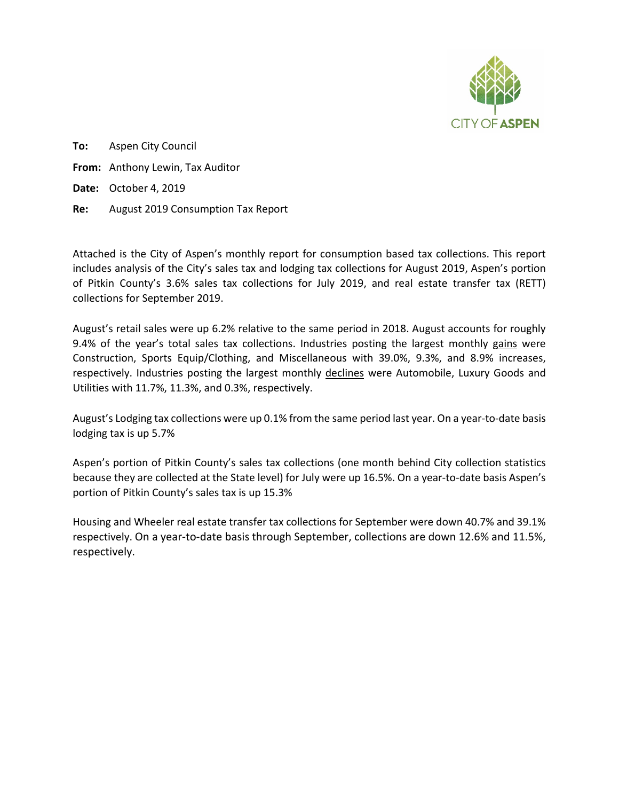

**To:** Aspen City Council **From:** Anthony Lewin, Tax Auditor **Date:** October 4, 2019 **Re:** August 2019 Consumption Tax Report

Attached is the City of Aspen's monthly report for consumption based tax collections. This report includes analysis of the City's sales tax and lodging tax collections for August 2019, Aspen's portion of Pitkin County's 3.6% sales tax collections for July 2019, and real estate transfer tax (RETT) collections for September 2019.

August's retail sales were up 6.2% relative to the same period in 2018. August accounts for roughly 9.4% of the year's total sales tax collections. Industries posting the largest monthly gains were Construction, Sports Equip/Clothing, and Miscellaneous with 39.0%, 9.3%, and 8.9% increases, respectively. Industries posting the largest monthly declines were Automobile, Luxury Goods and Utilities with 11.7%, 11.3%, and 0.3%, respectively.

August's Lodging tax collections were up 0.1% from the same period last year. On a year-to-date basis lodging tax is up 5.7%

Aspen's portion of Pitkin County's sales tax collections (one month behind City collection statistics because they are collected at the State level) for July were up 16.5%. On a year-to-date basis Aspen's portion of Pitkin County's sales tax is up 15.3%

Housing and Wheeler real estate transfer tax collections for September were down 40.7% and 39.1% respectively. On a year-to-date basis through September, collections are down 12.6% and 11.5%, respectively.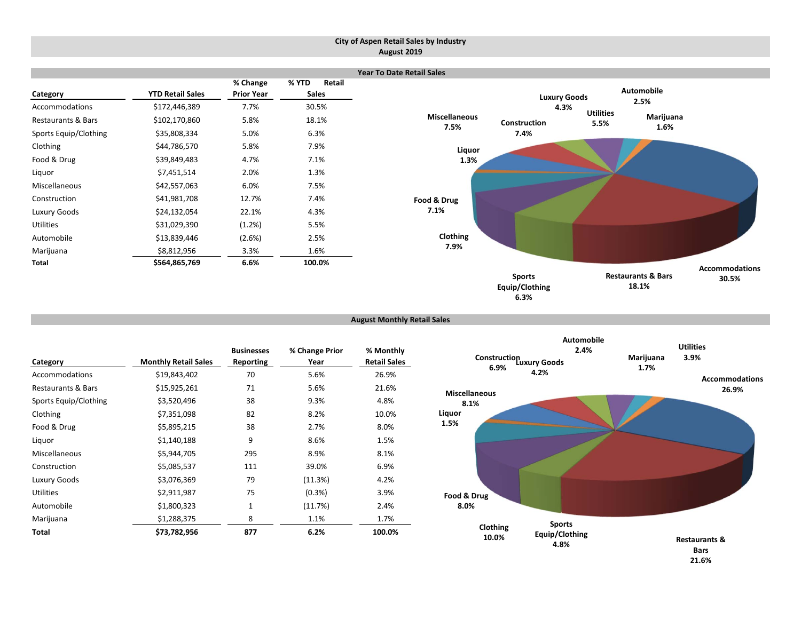#### **City of Aspen Retail Sales by Industry August 2019**



**August Monthly Retail Sales**

|                       |                             | <b>Businesses</b> | % Change Prior | % Monthly           |
|-----------------------|-----------------------------|-------------------|----------------|---------------------|
| Category              | <b>Monthly Retail Sales</b> | Reporting         | Year           | <b>Retail Sales</b> |
| Accommodations        | \$19,843,402                | 70                | 5.6%           | 26.9%               |
| Restaurants & Bars    | \$15,925,261                | 71                | 5.6%           | 21.6%               |
| Sports Equip/Clothing | \$3,520,496                 | 38                | 9.3%           | 4.8%                |
| Clothing              | \$7,351,098                 | 82                | 8.2%           | 10.0%               |
| Food & Drug           | \$5,895,215                 | 38                | 2.7%           | 8.0%                |
| Liquor                | \$1,140,188                 | 9                 | 8.6%           | 1.5%                |
| Miscellaneous         | \$5,944,705                 | 295               | 8.9%           | 8.1%                |
| Construction          | \$5,085,537                 | 111               | 39.0%          | 6.9%                |
| Luxury Goods          | \$3,076,369                 | 79                | (11.3%)        | 4.2%                |
| <b>Utilities</b>      | \$2,911,987                 | 75                | (0.3%)         | 3.9%                |
| Automobile            | \$1,800,323                 | $\mathbf{1}$      | (11.7%)        | 2.4%                |
| Marijuana             | \$1,288,375                 | 8                 | 1.1%           | 1.7%                |
| Total                 | \$73.782.956                | 877               | 6.2%           | 100.0%              |

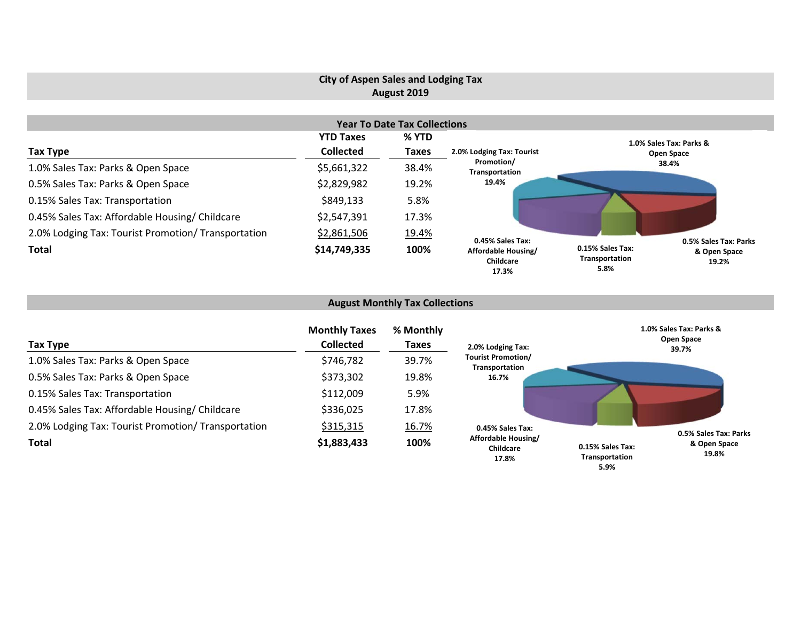# **City of Aspen Sales and Lodging Tax August 2019**

|                                                     |                  | <b>Year To Date Tax Collections</b> |                                           |                                                                     |
|-----------------------------------------------------|------------------|-------------------------------------|-------------------------------------------|---------------------------------------------------------------------|
|                                                     | <b>YTD Taxes</b> | % YTD                               |                                           | 1.0% Sales Tax: Parks &                                             |
| Tax Type                                            | <b>Collected</b> | <b>Taxes</b>                        | 2.0% Lodging Tax: Tourist<br>Promotion/   | Open Space                                                          |
| 1.0% Sales Tax: Parks & Open Space                  | \$5,661,322      | 38.4%                               |                                           |                                                                     |
| 0.5% Sales Tax: Parks & Open Space                  | \$2,829,982      | 19.2%                               | 19.4%                                     |                                                                     |
| 0.15% Sales Tax: Transportation                     | \$849,133        | 5.8%                                |                                           |                                                                     |
| 0.45% Sales Tax: Affordable Housing/ Childcare      | \$2,547,391      | 17.3%                               |                                           |                                                                     |
| 2.0% Lodging Tax: Tourist Promotion/ Transportation | \$2,861,506      | 19.4%                               | 0.45% Sales Tax:                          | 0.5% Sales Tax: Parks                                               |
| <b>Total</b>                                        | \$14,749,335     | 100%                                | Affordable Housing/<br>Childcare<br>17.3% | 0.15% Sales Tax:<br>& Open Space<br>Transportation<br>19.2%<br>5.8% |

# **August Monthly Tax Collections**

| Tax Type                                            | <b>Monthly Taxes</b><br><b>Collected</b> | % Monthly<br><b>Taxes</b> | 2.0% Lodging Tax:                           | 1.0% Sales Tax: Parks &<br>Open Space<br>39.7%              |
|-----------------------------------------------------|------------------------------------------|---------------------------|---------------------------------------------|-------------------------------------------------------------|
| 1.0% Sales Tax: Parks & Open Space                  | \$746,782                                | 39.7%                     | <b>Tourist Promotion/</b><br>Transportation |                                                             |
| 0.5% Sales Tax: Parks & Open Space                  | \$373,302                                | 19.8%                     | 16.7%                                       |                                                             |
| 0.15% Sales Tax: Transportation                     | \$112,009                                | 5.9%                      |                                             |                                                             |
| 0.45% Sales Tax: Affordable Housing/ Childcare      | \$336,025                                | 17.8%                     |                                             |                                                             |
| 2.0% Lodging Tax: Tourist Promotion/ Transportation | \$315,315                                | 16.7%                     | 0.45% Sales Tax:                            | 0.5% Sales Tax: Parks                                       |
| <b>Total</b>                                        | \$1,883,433                              | 100%                      | Affordable Housing/<br>Childcare<br>17.8%   | & Open Space<br>0.15% Sales Tax:<br>19.8%<br>Transportation |

**5.9%**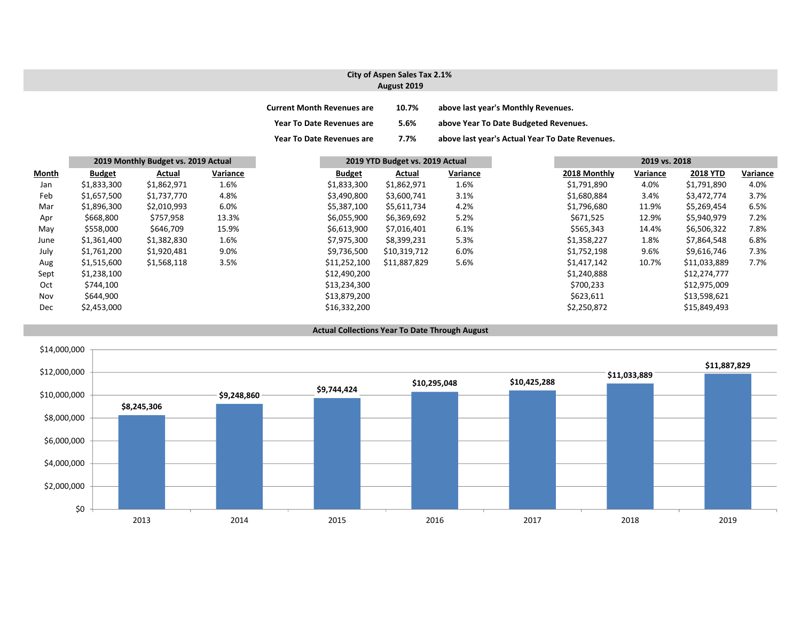#### **City of Aspen Sales Tax 2.1% August 2019**

| <b>Current Month Revenues are</b> | 10.7% | above last year's Monthly Revenues.             |
|-----------------------------------|-------|-------------------------------------------------|
| <b>Year To Date Revenues are</b>  | 5.6%  | above Year To Date Budgeted Revenues.           |
| <b>Year To Date Revenues are</b>  | 7.7%  | above last year's Actual Year To Date Revenues. |

|       |               | 2019 Monthly Budget vs. 2019 Actual |          |               | 2019 YTD Budget vs. 2019 Actual |          |              | 2019 vs. 2018 |                 |          |
|-------|---------------|-------------------------------------|----------|---------------|---------------------------------|----------|--------------|---------------|-----------------|----------|
| Month | <b>Budget</b> | Actual                              | Variance | <b>Budget</b> | Actual                          | Variance | 2018 Monthly | Variance      | <b>2018 YTD</b> | Variance |
| Jan   | \$1,833,300   | \$1,862,971                         | 1.6%     | \$1,833,300   | \$1,862,971                     | 1.6%     | \$1,791,890  | 4.0%          | \$1,791,890     | 4.0%     |
| Feb   | \$1,657,500   | \$1,737,770                         | 4.8%     | \$3,490,800   | \$3,600,741                     | 3.1%     | \$1,680,884  | 3.4%          | \$3,472,774     | 3.7%     |
| Mar   | \$1,896,300   | \$2,010,993                         | 6.0%     | \$5,387,100   | \$5,611,734                     | 4.2%     | \$1,796,680  | 11.9%         | \$5,269,454     | 6.5%     |
| Apr   | \$668,800     | \$757,958                           | 13.3%    | \$6,055,900   | \$6,369,692                     | 5.2%     | \$671,525    | 12.9%         | \$5,940,979     | 7.2%     |
| May   | \$558,000     | \$646,709                           | 15.9%    | \$6,613,900   | \$7,016,401                     | 6.1%     | \$565,343    | 14.4%         | \$6,506,322     | 7.8%     |
| June  | \$1,361,400   | \$1,382,830                         | 1.6%     | \$7,975,300   | \$8,399,231                     | 5.3%     | \$1,358,227  | 1.8%          | \$7,864,548     | 6.8%     |
| July  | \$1,761,200   | \$1,920,481                         | 9.0%     | \$9,736,500   | \$10,319,712                    | 6.0%     | \$1,752,198  | 9.6%          | \$9,616,746     | 7.3%     |
| Aug   | \$1,515,600   | \$1,568,118                         | 3.5%     | \$11,252,100  | \$11,887,829                    | 5.6%     | \$1,417,142  | 10.7%         | \$11,033,889    | 7.7%     |
| Sept  | \$1,238,100   |                                     |          | \$12,490,200  |                                 |          | \$1,240,888  |               | \$12,274,777    |          |
| Oct   | \$744,100     |                                     |          | \$13,234,300  |                                 |          | \$700,233    |               | \$12,975,009    |          |
| Nov   | \$644,900     |                                     |          | \$13,879,200  |                                 |          | \$623,611    |               | \$13,598,621    |          |
| Dec   | \$2,453,000   |                                     |          | \$16,332,200  |                                 |          | \$2,250,872  |               | \$15,849,493    |          |



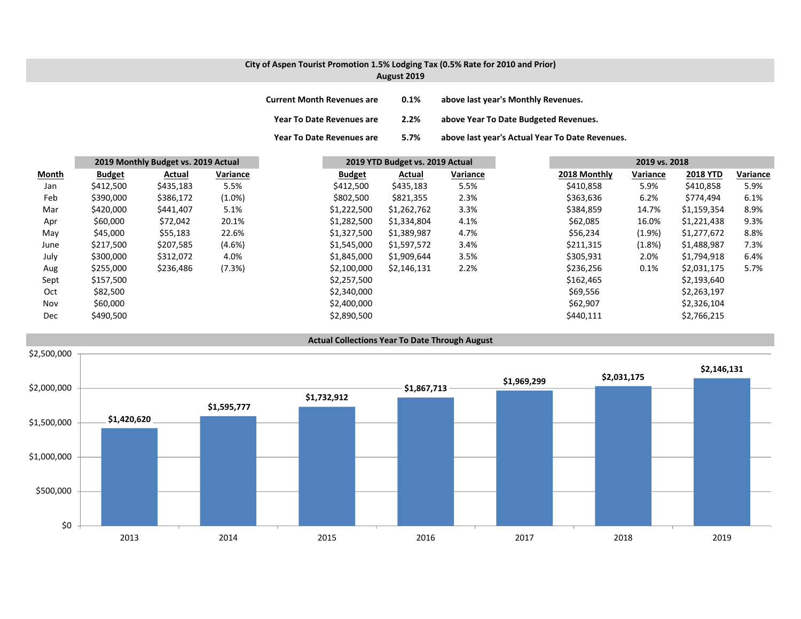## **City of Aspen Tourist Promotion 1.5% Lodging Tax (0.5% Rate for 2010 and Prior) August 2019**

| <b>Current Month Revenues are</b> | 0.1% | above last year's Monthly Revenues.             |
|-----------------------------------|------|-------------------------------------------------|
| <b>Year To Date Revenues are</b>  | 2.2% | above Year To Date Budgeted Revenues.           |
| <b>Year To Date Revenues are</b>  | 5.7% | above last year's Actual Year To Date Revenues. |

|       |               | 2019 Monthly Budget vs. 2019 Actual |           | 2019 YTD Budget vs. 2019 Actual |             | 2019 vs. 2018 |              |           |                 |          |
|-------|---------------|-------------------------------------|-----------|---------------------------------|-------------|---------------|--------------|-----------|-----------------|----------|
| Month | <b>Budget</b> | Actual                              | Variance  | <b>Budget</b>                   | Actual      | Variance      | 2018 Monthly | Variance  | <b>2018 YTD</b> | Variance |
| Jan   | \$412,500     | \$435,183                           | 5.5%      | \$412,500                       | \$435,183   | 5.5%          | \$410,858    | 5.9%      | \$410,858       | 5.9%     |
| Feb   | \$390,000     | \$386,172                           | $(1.0\%)$ | \$802,500                       | \$821,355   | 2.3%          | \$363,636    | 6.2%      | \$774,494       | 6.1%     |
| Mar   | \$420,000     | \$441,407                           | 5.1%      | \$1,222,500                     | \$1,262,762 | 3.3%          | \$384,859    | 14.7%     | \$1,159,354     | 8.9%     |
| Apr   | \$60,000      | \$72,042                            | 20.1%     | \$1,282,500                     | \$1,334,804 | 4.1%          | \$62,085     | 16.0%     | \$1,221,438     | 9.3%     |
| May   | \$45,000      | \$55,183                            | 22.6%     | \$1,327,500                     | \$1,389,987 | 4.7%          | \$56,234     | $(1.9\%)$ | \$1,277,672     | 8.8%     |
| June  | \$217,500     | \$207,585                           | $(4.6\%)$ | \$1,545,000                     | \$1,597,572 | 3.4%          | \$211,315    | (1.8%)    | \$1,488,987     | 7.3%     |
| July  | \$300,000     | \$312,072                           | 4.0%      | \$1,845,000                     | \$1,909,644 | 3.5%          | \$305,931    | 2.0%      | \$1,794,918     | 6.4%     |
| Aug   | \$255,000     | \$236,486                           | (7.3%)    | \$2,100,000                     | \$2,146,131 | 2.2%          | \$236,256    | $0.1\%$   | \$2,031,175     | 5.7%     |
| Sept  | \$157,500     |                                     |           | \$2,257,500                     |             |               | \$162,465    |           | \$2,193,640     |          |
| Oct   | \$82,500      |                                     |           | \$2,340,000                     |             |               | \$69,556     |           | \$2,263,197     |          |
| Nov   | \$60,000      |                                     |           | \$2,400,000                     |             |               | \$62,907     |           | \$2,326,104     |          |
| Dec   | \$490,500     |                                     |           | \$2,890,500                     |             |               | \$440,111    |           | \$2,766,215     |          |

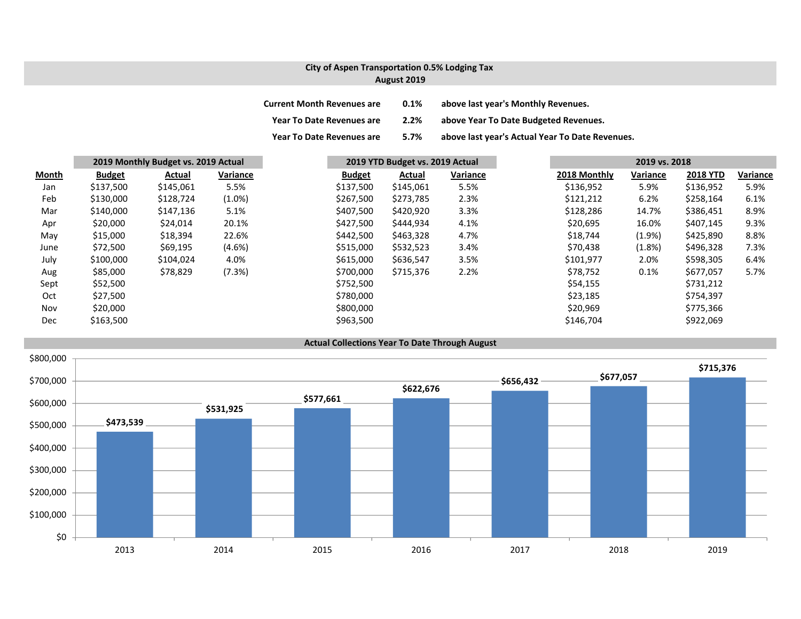## **City of Aspen Transportation 0.5% Lodging Tax August 2019**

| <b>Current Month Revenues are</b> | 0.1% | above last year's Monthly Revenues.             |
|-----------------------------------|------|-------------------------------------------------|
| <b>Year To Date Revenues are</b>  | 2.2% | above Year To Date Budgeted Revenues.           |
| <b>Year To Date Revenues are</b>  | 5.7% | above last year's Actual Year To Date Revenues. |

|              |               | 2019 Monthly Budget vs. 2019 Actual |           | 2019 YTD Budget vs. 2019 Actual |           |          | 2019 vs. 2018 |              |          |                 |          |
|--------------|---------------|-------------------------------------|-----------|---------------------------------|-----------|----------|---------------|--------------|----------|-----------------|----------|
| <b>Month</b> | <b>Budget</b> | Actual                              | Variance  | <b>Budget</b>                   | Actual    | Variance |               | 2018 Monthly | Variance | <b>2018 YTD</b> | Variance |
| Jan          | \$137,500     | \$145,061                           | 5.5%      | \$137,500                       | \$145,061 | 5.5%     |               | \$136,952    | 5.9%     | \$136,952       | 5.9%     |
| Feb          | \$130,000     | \$128,724                           | $(1.0\%)$ | \$267,500                       | \$273,785 | 2.3%     |               | \$121,212    | 6.2%     | \$258,164       | 6.1%     |
| Mar          | \$140,000     | \$147,136                           | 5.1%      | \$407,500                       | \$420,920 | 3.3%     |               | \$128,286    | 14.7%    | \$386,451       | 8.9%     |
| Apr          | \$20,000      | \$24,014                            | 20.1%     | \$427,500                       | \$444,934 | 4.1%     |               | \$20,695     | 16.0%    | \$407,145       | 9.3%     |
| May          | \$15,000      | \$18,394                            | 22.6%     | \$442,500                       | \$463,328 | 4.7%     |               | \$18,744     | (1.9%    | \$425,890       | 8.8%     |
| June         | \$72,500      | \$69,195                            | $(4.6\%)$ | \$515,000                       | \$532,523 | 3.4%     |               | \$70,438     | (1.8%)   | \$496,328       | 7.3%     |
| July         | \$100,000     | \$104,024                           | 4.0%      | \$615,000                       | \$636,547 | 3.5%     |               | \$101,977    | 2.0%     | \$598,305       | 6.4%     |
| Aug          | \$85,000      | \$78,829                            | (7.3%)    | \$700,000                       | \$715,376 | 2.2%     |               | \$78,752     | 0.1%     | \$677,057       | 5.7%     |
| Sept         | \$52,500      |                                     |           | \$752,500                       |           |          |               | \$54,155     |          | \$731,212       |          |
| Oct          | \$27,500      |                                     |           | \$780,000                       |           |          |               | \$23,185     |          | \$754,397       |          |
| Nov          | \$20,000      |                                     |           | \$800,000                       |           |          |               | \$20,969     |          | \$775,366       |          |
| Dec          | \$163,500     |                                     |           | \$963,500                       |           |          |               | \$146,704    |          | \$922,069       |          |

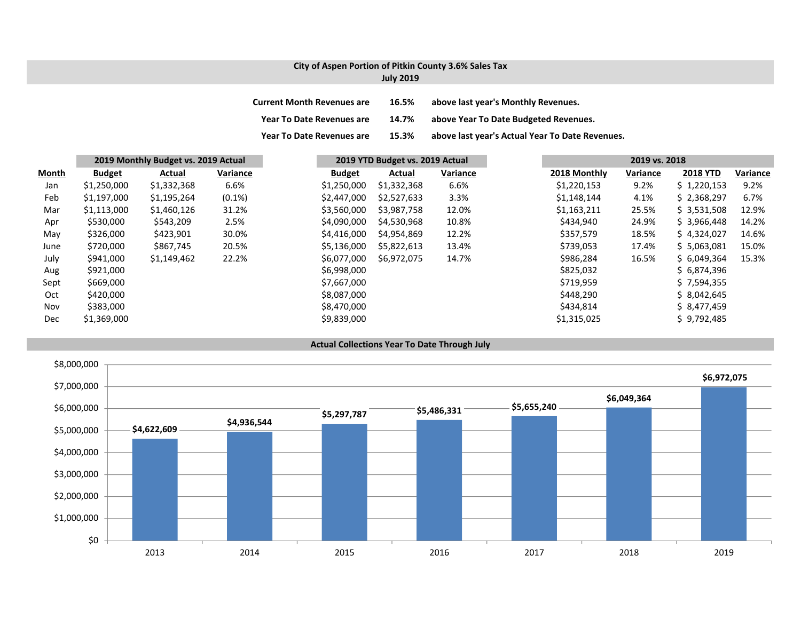## **City of Aspen Portion of Pitkin County 3.6% Sales Tax July 2019**

| <b>Current Month Revenues are</b> | 16.5% | above last year's Monthly Revenues.             |
|-----------------------------------|-------|-------------------------------------------------|
| <b>Year To Date Revenues are</b>  | 14.7% | above Year To Date Budgeted Revenues.           |
| <b>Year To Date Revenues are</b>  | 15.3% | above last year's Actual Year To Date Revenues. |

|       |               | 2019 Monthly Budget vs. 2019 Actual |           |               | 2019 YTD Budget vs. 2019 Actual |          |              | 2019 vs. 2018 |                 |          |
|-------|---------------|-------------------------------------|-----------|---------------|---------------------------------|----------|--------------|---------------|-----------------|----------|
| Month | <b>Budget</b> | Actual                              | Variance  | <b>Budget</b> | Actual                          | Variance | 2018 Monthly | Variance      | <b>2018 YTD</b> | Variance |
| Jan   | \$1,250,000   | \$1,332,368                         | 6.6%      | \$1,250,000   | \$1,332,368                     | 6.6%     | \$1,220,153  | 9.2%          | \$1,220,153     | 9.2%     |
| Feb   | \$1,197,000   | \$1,195,264                         | $(0.1\%)$ | \$2,447,000   | \$2,527,633                     | 3.3%     | \$1,148,144  | 4.1%          | \$2,368,297     | 6.7%     |
| Mar   | \$1,113,000   | \$1,460,126                         | 31.2%     | \$3,560,000   | \$3,987,758                     | 12.0%    | \$1,163,211  | 25.5%         | \$3,531,508     | 12.9%    |
| Apr   | \$530,000     | \$543,209                           | 2.5%      | \$4,090,000   | \$4,530,968                     | 10.8%    | \$434,940    | 24.9%         | \$3,966,448     | 14.2%    |
| May   | \$326,000     | \$423,901                           | 30.0%     | \$4,416,000   | \$4,954,869                     | 12.2%    | \$357,579    | 18.5%         | \$4,324,027     | 14.6%    |
| June  | \$720,000     | \$867,745                           | 20.5%     | \$5,136,000   | \$5,822,613                     | 13.4%    | \$739,053    | 17.4%         | \$5,063,081     | 15.0%    |
| July  | \$941,000     | \$1,149,462                         | 22.2%     | \$6,077,000   | \$6,972,075                     | 14.7%    | \$986,284    | 16.5%         | \$6,049,364     | 15.3%    |
| Aug   | \$921,000     |                                     |           | \$6,998,000   |                                 |          | \$825,032    |               | \$6,874,396     |          |
| Sept  | \$669,000     |                                     |           | \$7,667,000   |                                 |          | \$719,959    |               | \$7,594,355     |          |
| Oct   | \$420,000     |                                     |           | \$8,087,000   |                                 |          | \$448,290    |               | \$8,042,645     |          |
| Nov   | \$383,000     |                                     |           | \$8,470,000   |                                 |          | \$434,814    |               | \$8,477,459     |          |
| Dec   | \$1,369,000   |                                     |           | \$9,839,000   |                                 |          | \$1,315,025  |               | \$9,792,485     |          |



**Actual Collections Year To Date Through July**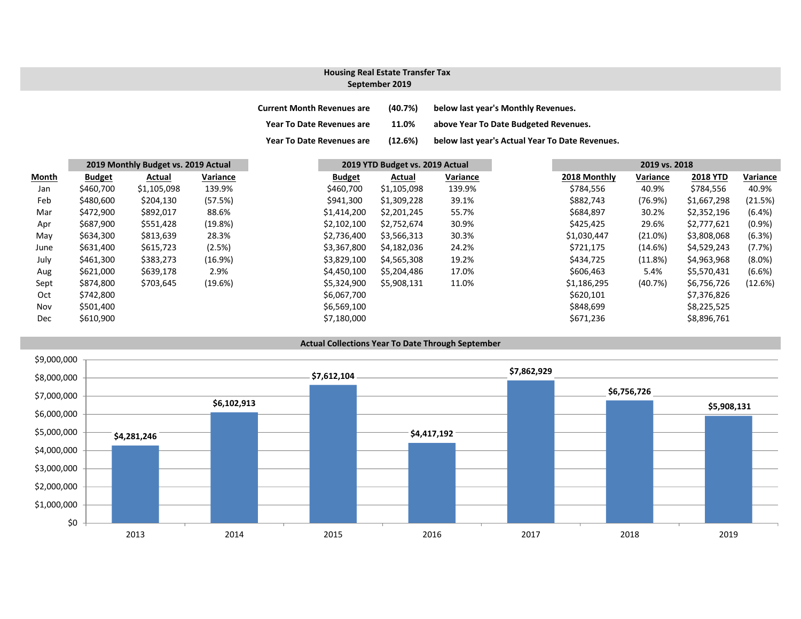#### **September 2019 Housing Real Estate Transfer Tax**

| <b>Current Month Revenues are</b> | (40.7%) | below last year's Monthly Revenues.             |
|-----------------------------------|---------|-------------------------------------------------|
| <b>Year To Date Revenues are</b>  | 11.0%   | above Year To Date Budgeted Revenues.           |
| <b>Year To Date Revenues are</b>  | (12.6%) | below last year's Actual Year To Date Revenues. |

|       | 2019 Monthly Budget vs. 2019 Actual |             |          |  | 2019 YTD Budget vs. 2019 Actual |             |          | 2019 vs. 2018 |          |                 |           |
|-------|-------------------------------------|-------------|----------|--|---------------------------------|-------------|----------|---------------|----------|-----------------|-----------|
| Month | <b>Budget</b>                       | Actual      | Variance |  | <b>Budget</b>                   | Actual      | Variance | 2018 Monthly  | Variance | <b>2018 YTD</b> | Variance  |
| Jan   | \$460,700                           | \$1,105,098 | 139.9%   |  | \$460,700                       | \$1,105,098 | 139.9%   | \$784,556     | 40.9%    | \$784,556       | 40.9%     |
| Feb   | \$480,600                           | \$204,130   | (57.5%)  |  | \$941,300                       | \$1,309,228 | 39.1%    | \$882,743     | (76.9%)  | \$1,667,298     | (21.5%)   |
| Mar   | \$472,900                           | \$892,017   | 88.6%    |  | \$1,414,200                     | \$2,201,245 | 55.7%    | \$684,897     | 30.2%    | \$2,352,196     | (6.4%)    |
| Apr   | \$687,900                           | \$551,428   | (19.8%)  |  | \$2,102,100                     | \$2,752,674 | 30.9%    | \$425,425     | 29.6%    | \$2,777,621     | $(0.9\%)$ |
| May   | \$634,300                           | \$813,639   | 28.3%    |  | \$2,736,400                     | \$3,566,313 | 30.3%    | \$1,030,447   | (21.0%)  | \$3,808,068     | (6.3%)    |
| June  | \$631,400                           | \$615,723   | (2.5%)   |  | \$3,367,800                     | \$4,182,036 | 24.2%    | \$721,175     | (14.6%)  | \$4,529,243     | (7.7%)    |
| July  | \$461,300                           | \$383,273   | (16.9%)  |  | \$3,829,100                     | \$4,565,308 | 19.2%    | \$434,725     | (11.8%)  | \$4,963,968     | $(8.0\%)$ |
| Aug   | \$621,000                           | \$639,178   | 2.9%     |  | \$4,450,100                     | \$5,204,486 | 17.0%    | \$606,463     | 5.4%     | \$5,570,431     | (6.6%)    |
| Sept  | \$874,800                           | \$703,645   | (19.6%)  |  | \$5,324,900                     | \$5,908,131 | 11.0%    | \$1,186,295   | (40.7%)  | \$6,756,726     | (12.6%)   |
| Oct   | \$742,800                           |             |          |  | \$6,067,700                     |             |          | \$620,101     |          | \$7,376,826     |           |
| Nov   | \$501,400                           |             |          |  | \$6,569,100                     |             |          | \$848,699     |          | \$8,225,525     |           |
| Dec   | \$610,900                           |             |          |  | \$7,180,000                     |             |          | \$671,236     |          | \$8,896,761     |           |